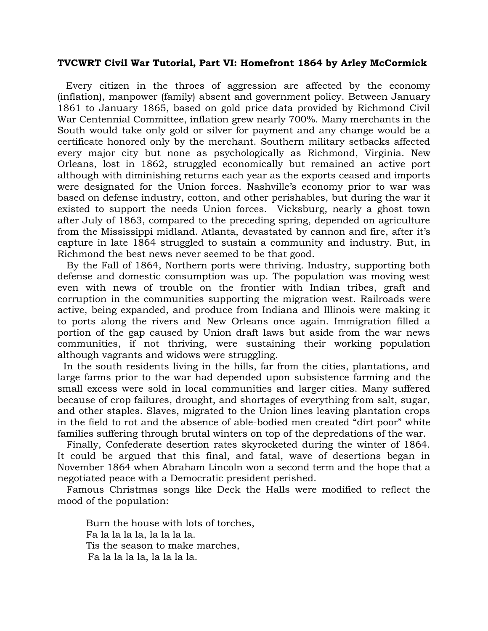## **TVCWRT Civil War Tutorial, Part VI: Homefront 1864 by Arley McCormick**

Every citizen in the throes of aggression are affected by the economy (inflation), manpower (family) absent and government policy. Between January 1861 to January 1865, based on gold price data provided by Richmond Civil War Centennial Committee, inflation grew nearly 700%. Many merchants in the South would take only gold or silver for payment and any change would be a certificate honored only by the merchant. Southern military setbacks affected every major city but none as psychologically as Richmond, Virginia. New Orleans, lost in 1862, struggled economically but remained an active port although with diminishing returns each year as the exports ceased and imports were designated for the Union forces. Nashville's economy prior to war was based on defense industry, cotton, and other perishables, but during the war it existed to support the needs Union forces. Vicksburg, nearly a ghost town after July of 1863, compared to the preceding spring, depended on agriculture from the Mississippi midland. Atlanta, devastated by cannon and fire, after it's capture in late 1864 struggled to sustain a community and industry. But, in Richmond the best news never seemed to be that good.

 By the Fall of 1864, Northern ports were thriving. Industry, supporting both defense and domestic consumption was up. The population was moving west even with news of trouble on the frontier with Indian tribes, graft and corruption in the communities supporting the migration west. Railroads were active, being expanded, and produce from Indiana and Illinois were making it to ports along the rivers and New Orleans once again. Immigration filled a portion of the gap caused by Union draft laws but aside from the war news communities, if not thriving, were sustaining their working population although vagrants and widows were struggling.

 In the south residents living in the hills, far from the cities, plantations, and large farms prior to the war had depended upon subsistence farming and the small excess were sold in local communities and larger cities. Many suffered because of crop failures, drought, and shortages of everything from salt, sugar, and other staples. Slaves, migrated to the Union lines leaving plantation crops in the field to rot and the absence of able-bodied men created "dirt poor" white families suffering through brutal winters on top of the depredations of the war.

 Finally, Confederate desertion rates skyrocketed during the winter of 1864. It could be argued that this final, and fatal, wave of desertions began in November 1864 when Abraham Lincoln won a second term and the hope that a negotiated peace with a Democratic president perished.

 Famous Christmas songs like Deck the Halls were modified to reflect the mood of the population:

Burn the house with lots of torches, Fa la la la la, la la la la. Tis the season to make marches, Fa la la la la, la la la la.